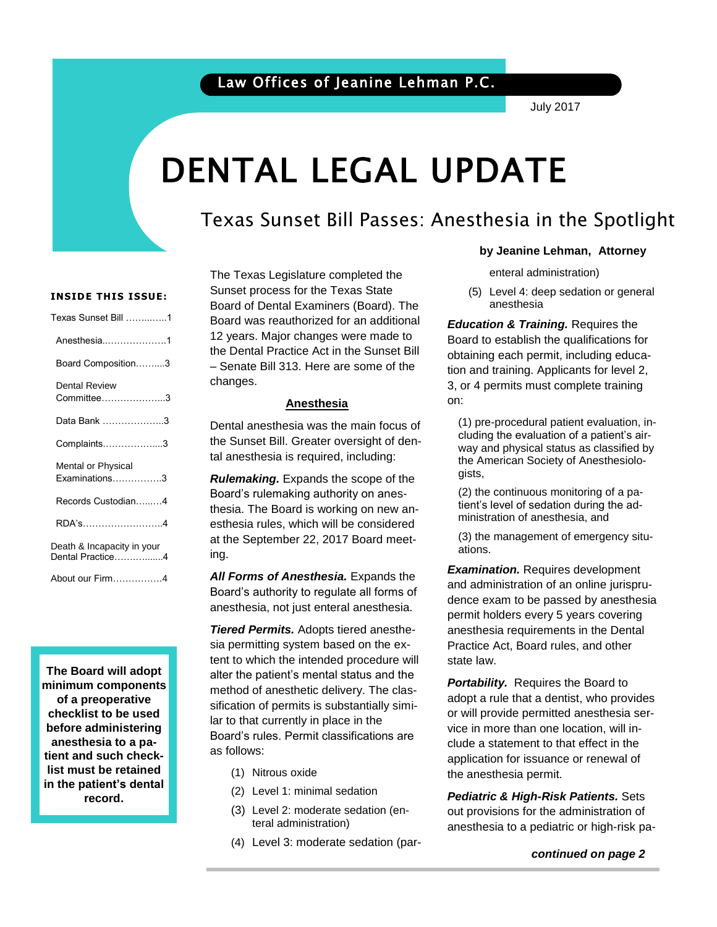### Law Offices of Jeanine Lehman P.C.

July 2017

# DENTAL LEGAL UPDATE

### Texas Sunset Bill Passes: Anesthesia in the Spotlight

#### **INSIDE THIS ISSUE:**

| Texas Sunset Bill 1                            |
|------------------------------------------------|
| Anesthesia1                                    |
| Board Composition3                             |
| Dental Review<br>Committee3                    |
| Data Bank 3                                    |
| Complaints3                                    |
| Mental or Physical<br>$Examinations$ 3         |
| Records Custodian4                             |
| RDA's4                                         |
| Death & Incapacity in your<br>Dental Practice4 |
| About our Firm4                                |

**The Board will adopt minimum components of a preoperative checklist to be used before administering anesthesia to a patient and such checklist must be retained in the patient's dental record.**

The Texas Legislature completed the Sunset process for the Texas State Board of Dental Examiners (Board). The Board was reauthorized for an additional 12 years. Major changes were made to the Dental Practice Act in the Sunset Bill – Senate Bill 313. Here are some of the changes.

#### **Anesthesia**

Dental anesthesia was the main focus of the Sunset Bill. Greater oversight of dental anesthesia is required, including:

*Rulemaking.* Expands the scope of the Board's rulemaking authority on anesthesia. The Board is working on new anesthesia rules, which will be considered at the September 22, 2017 Board meeting.

*All Forms of Anesthesia.* Expands the Board's authority to regulate all forms of anesthesia, not just enteral anesthesia.

*Tiered Permits.* Adopts tiered anesthesia permitting system based on the extent to which the intended procedure will alter the patient's mental status and the method of anesthetic delivery. The classification of permits is substantially similar to that currently in place in the Board's rules. Permit classifications are as follows:

- (1) Nitrous oxide
- (2) Level 1: minimal sedation
- (3) Level 2: moderate sedation (enteral administration)
- (4) Level 3: moderate sedation (par-

#### **by Jeanine Lehman, Attorney**

enteral administration)

(5) Level 4: deep sedation or general anesthesia

Board to establish the qualifications for<br>aktrician analyzes in the lucking adverse tion and training. Applicants for level 2,<br>3, or 4 permits must complete training *Education & Training. Requires the* obtaining each permit, including educa-3, or 4 permits must complete training on:

> (1) pre-procedural patient evaluation, including the evaluation of a patient's airway and physical status as classified by the American Society of Anesthesiologists,

(2) the continuous monitoring of a patient's level of sedation during the administration of anesthesia, and

(3) the management of emergency situations.

*Examination.* Requires development and administration of an online jurisprudence exam to be passed by anesthesia permit holders every 5 years covering anesthesia requirements in the Dental Practice Act, Board rules, and other state law.

 the anesthesia permit. **Portability.** Requires the Board to adopt a rule that a dentist, who provides or will provide permitted anesthesia service in more than one location, will include a statement to that effect in the application for issuance or renewal of

*Pediatric & High-Risk Patients.* Sets out provisions for the administration of anesthesia to a pediatric or high-risk pa-

 *continued on page 2*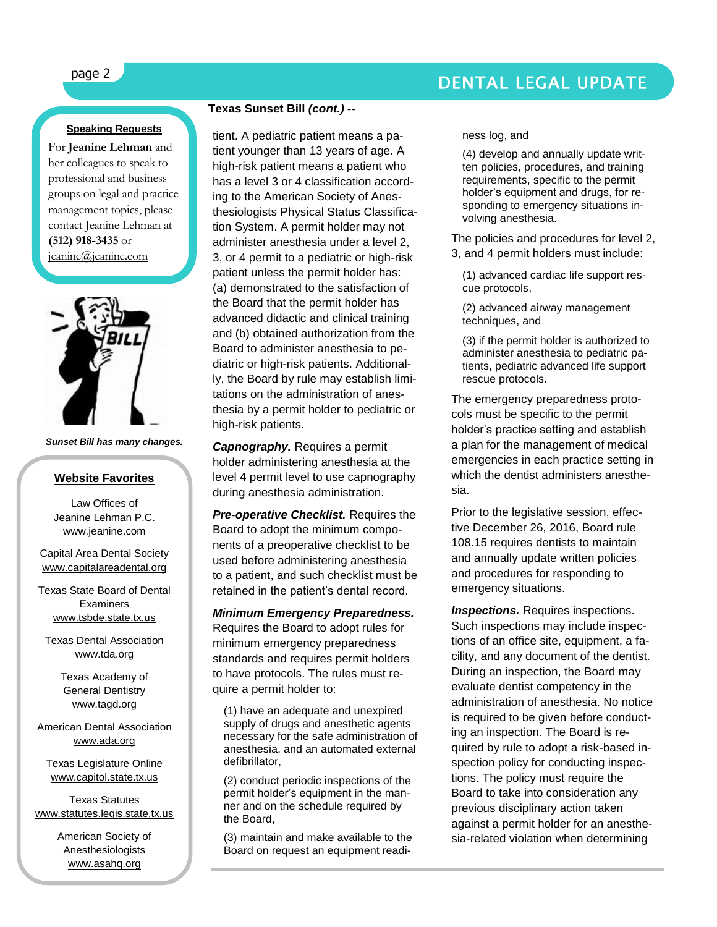## page 2 DENTAL LEGAL UPDATE

#### **Speaking Requests**

For **Jeanine Lehman** and her colleagues to speak to professional and business groups on legal and practice management topics, please contact Jeanine Lehman at **(512) 918-3435** or [jeanine@jeanine.com](mailto:jeanine@jeanine.com)



*Sunset Bill has many changes.*

#### **Website Favorites**

Law Offices of Jeanine Lehman P.C. [www.jeanine.com](http://www.jeanine.com/)

Capital Area Dental Society [www.capitalareadental.org](http://www.capitalareadental.org/)

Texas State Board of Dental Examiners [www.tsbde.state.tx.us](http://www.tsbde.state.tx.us/)

Texas Dental Association [www.tda.org](http://www.tda.org/)

> Texas Academy of General Dentistry [www.tagd.org](http://www.tagd.org/)

American Dental Association [www.ada.org](http://www.ada.org/)

Texas Legislature Online [www.capitol.state.tx.us](http://www.capitol.state.tx.us/)

Texas Statutes [www.statutes.legis.state.tx.us](http://www.statutes.legis.state.tx.us/)

> American Society of Anesthesiologists [www.asahq.org](http://www.asahq.org/)

#### **Texas Sunset Bill** *(cont.) --*

tient. A pediatric patient means a patient younger than 13 years of age. A high-risk patient means a patient who has a level 3 or 4 classification according to the American Society of Anesthesiologists Physical Status Classification System. A permit holder may not administer anesthesia under a level 2, 3, or 4 permit to a pediatric or high-risk patient unless the permit holder has: (a) demonstrated to the satisfaction of the Board that the permit holder has advanced didactic and clinical training and (b) obtained authorization from the Board to administer anesthesia to pediatric or high-risk patients. Additionally, the Board by rule may establish limitations on the administration of anesthesia by a permit holder to pediatric or high-risk patients.

*Capnography.* Requires a permit holder administering anesthesia at the level 4 permit level to use capnography during anesthesia administration.

*Pre-operative Checklist.* Requires the Board to adopt the minimum components of a preoperative checklist to be used before administering anesthesia to a patient, and such checklist must be retained in the patient's dental record.

*Minimum Emergency Preparedness.*  Requires the Board to adopt rules for minimum emergency preparedness standards and requires permit holders to have protocols. The rules must require a permit holder to:

(1) have an adequate and unexpired supply of drugs and anesthetic agents necessary for the safe administration of anesthesia, and an automated external defibrillator,

(2) conduct periodic inspections of the permit holder's equipment in the manner and on the schedule required by the Board,

(3) maintain and make available to the Board on request an equipment readiness log, and

(4) develop and annually update written policies, procedures, and training requirements, specific to the permit holder's equipment and drugs, for responding to emergency situations involving anesthesia.

The policies and procedures for level 2, 3, and 4 permit holders must include:

(1) advanced cardiac life support rescue protocols,

(2) advanced airway management techniques, and

(3) if the permit holder is authorized to administer anesthesia to pediatric patients, pediatric advanced life support rescue protocols.

The emergency preparedness protocols must be specific to the permit holder's practice setting and establish a plan for the management of medical emergencies in each practice setting in which the dentist administers anesthesia.

Prior to the legislative session, effective December 26, 2016, Board rule 108.15 requires dentists to maintain and annually update written policies and procedures for responding to emergency situations.

**Inspections.** Requires inspections. Such inspections may include inspections of an office site, equipment, a facility, and any document of the dentist. During an inspection, the Board may evaluate dentist competency in the administration of anesthesia. No notice is required to be given before conducting an inspection. The Board is required by rule to adopt a risk-based inspection policy for conducting inspections. The policy must require the Board to take into consideration any previous disciplinary action taken against a permit holder for an anesthesia-related violation when determining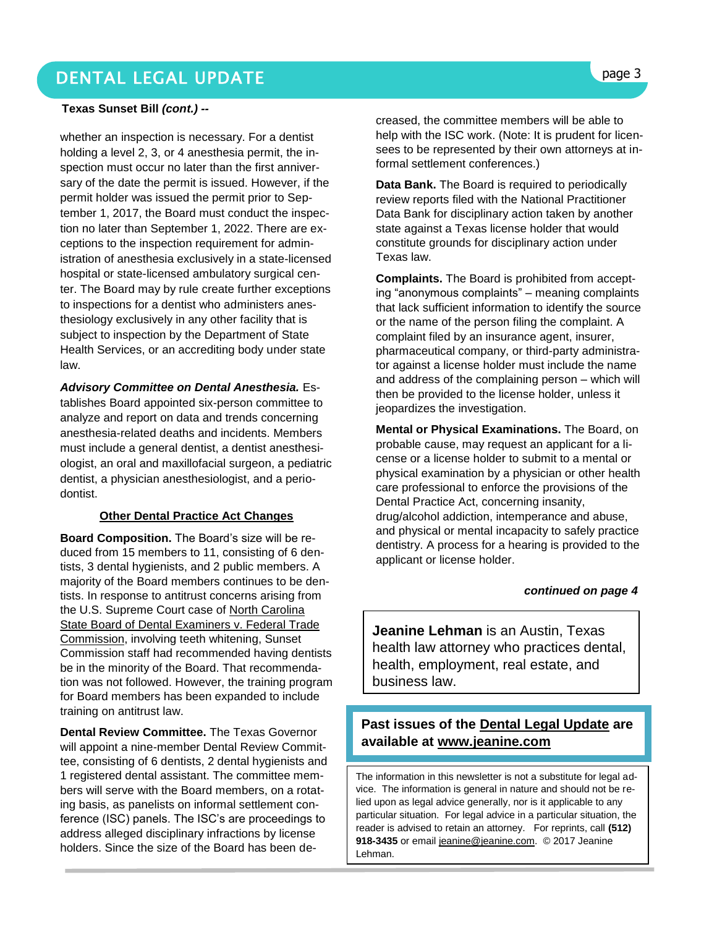### DENTAL LEGAL UPDATE **page 3**

#### **Texas Sunset Bill** *(cont.) --*

whether an inspection is necessary. For a dentist holding a level 2, 3, or 4 anesthesia permit, the inspection must occur no later than the first anniversary of the date the permit is issued. However, if the permit holder was issued the permit prior to September 1, 2017, the Board must conduct the inspection no later than September 1, 2022. There are exceptions to the inspection requirement for administration of anesthesia exclusively in a state-licensed hospital or state-licensed ambulatory surgical center. The Board may by rule create further exceptions to inspections for a dentist who administers anesthesiology exclusively in any other facility that is subject to inspection by the Department of State Health Services, or an accrediting body under state law.

*Advisory Committee on Dental Anesthesia.* Establishes Board appointed six-person committee to analyze and report on data and trends concerning anesthesia-related deaths and incidents. Members must include a general dentist, a dentist anesthesiologist, an oral and maxillofacial surgeon, a pediatric dentist, a physician anesthesiologist, and a periodontist.

#### **Other Dental Practice Act Changes**

**Board Composition.** The Board's size will be reduced from 15 members to 11, consisting of 6 dentists, 3 dental hygienists, and 2 public members. A majority of the Board members continues to be dentists. In response to antitrust concerns arising from the U.S. Supreme Court case of North Carolina State Board of Dental Examiners v. Federal Trade Commission, involving teeth whitening, Sunset Commission staff had recommended having dentists be in the minority of the Board. That recommendation was not followed. However, the training program for Board members has been expanded to include training on antitrust law.

**Dental Review Committee.** The Texas Governor will appoint a nine-member Dental Review Committee, consisting of 6 dentists, 2 dental hygienists and 1 registered dental assistant. The committee members will serve with the Board members, on a rotating basis, as panelists on informal settlement conference (ISC) panels. The ISC's are proceedings to address alleged disciplinary infractions by license holders. Since the size of the Board has been decreased, the committee members will be able to help with the ISC work. (Note: It is prudent for licensees to be represented by their own attorneys at informal settlement conferences.)

**Data Bank.** The Board is required to periodically review reports filed with the National Practitioner Data Bank for disciplinary action taken by another state against a Texas license holder that would constitute grounds for disciplinary action under Texas law.

**Complaints.** The Board is prohibited from accepting "anonymous complaints" – meaning complaints that lack sufficient information to identify the source or the name of the person filing the complaint. A complaint filed by an insurance agent, insurer, pharmaceutical company, or third-party administrator against a license holder must include the name and address of the complaining person – which will then be provided to the license holder, unless it jeopardizes the investigation.

**Mental or Physical Examinations.** The Board, on probable cause, may request an applicant for a license or a license holder to submit to a mental or physical examination by a physician or other health care professional to enforce the provisions of the Dental Practice Act, concerning insanity, drug/alcohol addiction, intemperance and abuse, and physical or mental incapacity to safely practice dentistry. A process for a hearing is provided to the applicant or license holder.

#### *continued on page 4*

**Jeanine Lehman** is an Austin, Texas health law attorney who practices dental, health, employment, real estate, and business law.

#### **Past issues of the Dental Legal Update are available at [www.jeanine.com](http://www.jeanine.com/)**

The information in this newsletter is not a substitute for legal advice. The information is general in nature and should not be relied upon as legal advice generally, nor is it applicable to any particular situation. For legal advice in a particular situation, the reader is advised to retain an attorney. For reprints, call **(512) 918-3435** or email [jeanine@jeanine.com.](mailto:jeanine@jeanine.com) © 2017 Jeanine Lehman.